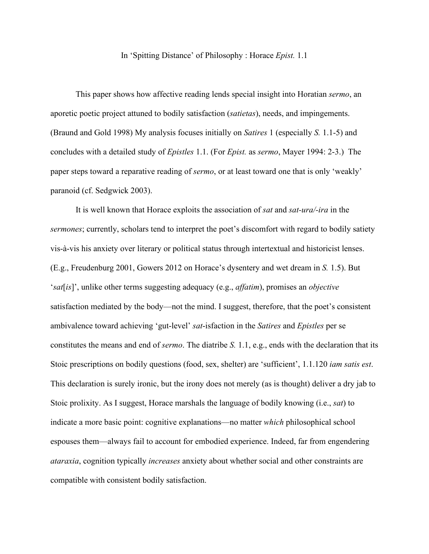## In 'Spitting Distance' of Philosophy : Horace *Epist.* 1.1

This paper shows how affective reading lends special insight into Horatian *sermo*, an aporetic poetic project attuned to bodily satisfaction (*satietas*), needs, and impingements. (Braund and Gold 1998) My analysis focuses initially on *Satires* 1 (especially *S.* 1.1-5) and concludes with a detailed study of *Epistles* 1.1. (For *Epist.* as *sermo*, Mayer 1994: 2-3.) The paper steps toward a reparative reading of *sermo*, or at least toward one that is only 'weakly' paranoid (cf. Sedgwick 2003).

It is well known that Horace exploits the association of *sat* and *sat-ura/-ira* in the *sermones*; currently, scholars tend to interpret the poet's discomfort with regard to bodily satiety vis-à-vis his anxiety over literary or political status through intertextual and historicist lenses. (E.g., Freudenburg 2001, Gowers 2012 on Horace's dysentery and wet dream in *S.* 1.5). But '*sat*[*is*]', unlike other terms suggesting adequacy (e.g., *affatim*), promises an *objective* satisfaction mediated by the body—not the mind. I suggest, therefore, that the poet's consistent ambivalence toward achieving 'gut-level' *sat*-isfaction in the *Satires* and *Epistles* per se constitutes the means and end of *sermo*. The diatribe *S.* 1.1, e.g., ends with the declaration that its Stoic prescriptions on bodily questions (food, sex, shelter) are 'sufficient', 1.1.120 *iam satis est*. This declaration is surely ironic, but the irony does not merely (as is thought) deliver a dry jab to Stoic prolixity. As I suggest, Horace marshals the language of bodily knowing (i.e., *sat*) to indicate a more basic point: cognitive explanations—no matter *which* philosophical school espouses them—always fail to account for embodied experience. Indeed, far from engendering *ataraxia*, cognition typically *increases* anxiety about whether social and other constraints are compatible with consistent bodily satisfaction.